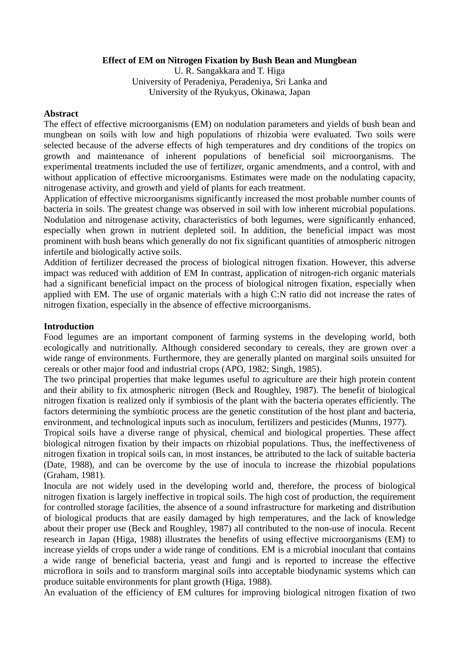### **Effect of EM on Nitrogen Fixation by Bush Bean and Mungbean**

U. R. Sangakkara and T. Higa University of Peradeniya, Peradeniya, Sri Lanka and University of the Ryukyus, Okinawa, Japan

#### **Abstract**

The effect of effective microorganisms (EM) on nodulation parameters and yields of bush bean and mungbean on soils with low and high populations of rhizobia were evaluated. Two soils were selected because of the adverse effects of high temperatures and dry conditions of the tropics on growth and maintenance of inherent populations of beneficial soil microorganisms. The experimental treatments included the use of fertilizer, organic amendments, and a control, with and without application of effective microorganisms. Estimates were made on the nodulating capacity, nitrogenase activity, and growth and yield of plants for each treatment.

Application of effective microorganisms significantly increased the most probable number counts of bacteria in soils. The greatest change was observed in soil with low inherent microbial populations. Nodulation and nitrogenase activity, characteristics of both legumes, were significantly enhanced, especially when grown in nutrient depleted soil. In addition, the beneficial impact was most prominent with bush beans which generally do not fix significant quantities of atmospheric nitrogen infertile and biologically active soils.

Addition of fertilizer decreased the process of biological nitrogen fixation. However, this adverse impact was reduced with addition of EM In contrast, application of nitrogen-rich organic materials had a significant beneficial impact on the process of biological nitrogen fixation, especially when applied with EM. The use of organic materials with a high C:N ratio did not increase the rates of nitrogen fixation, especially in the absence of effective microorganisms.

# **Introduction**

Food legumes are an important component of farming systems in the developing world, both ecologically and nutritionally. Although considered secondary to cereals, they are grown over a wide range of environments. Furthermore, they are generally planted on marginal soils unsuited for cereals or other major food and industrial crops (APO, 1982; Singh, 1985).

The two principal properties that make legumes useful to agriculture are their high protein content and their ability to fix atmospheric nitrogen (Beck and Roughley, 1987). The benefit of biological nitrogen fixation is realized only if symbiosis of the plant with the bacteria operates efficiently. The factors determining the symbiotic process are the genetic constitution of the host plant and bacteria, environment, and technological inputs such as inoculum, fertilizers and pesticides (Munns, 1977).

Tropical soils have a diverse range of physical, chemical and biological properties. These affect biological nitrogen fixation by their impacts on rhizobial populations. Thus, the ineffectiveness of nitrogen fixation in tropical soils can, in most instances, be attributed to the lack of suitable bacteria (Date, 1988), and can be overcome by the use of inocula to increase the rhizobial populations (Graham, 1981).

Inocula are not widely used in the developing world and, therefore, the process of biological nitrogen fixation is largely ineffective in tropical soils. The high cost of production, the requirement for controlled storage facilities, the absence of a sound infrastructure for marketing and distribution of biological products that are easily damaged by high temperatures, and the lack of knowledge about their proper use (Beck and Roughley, 1987) all contributed to the non-use of inocula. Recent research in Japan (Higa, 1988) illustrates the benefits of using effective microorganisms (EM) to increase yields of crops under a wide range of conditions. EM is a microbial inoculant that contains a wide range of beneficial bacteria, yeast and fungi and is reported to increase the effective microflora in soils and to transform marginal soils into acceptable biodynamic systems which can produce suitable environments for plant growth (Higa, 1988).

An evaluation of the efficiency of EM cultures for improving biological nitrogen fixation of two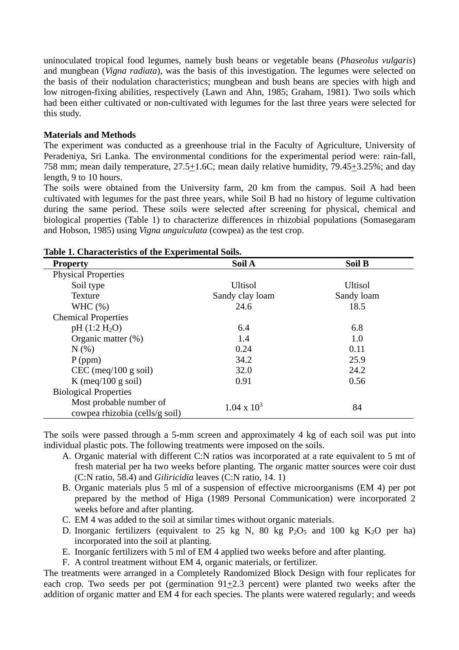uninoculated tropical food legumes, namely bush beans or vegetable beans (*Phaseolus vulgaris*) and mungbean (*Vigna radiata*), was the basis of this investigation. The legumes were selected on the basis of their nodulation characteristics; mungbean and bush beans are species with high and low nitrogen-fixing abilities, respectively (Lawn and Ahn, 1985; Graham, 1981). Two soils which had been either cultivated or non-cultivated with legumes for the last three years were selected for this study.

# **Materials and Methods**

The experiment was conducted as a greenhouse trial in the Faculty of Agriculture, University of Peradeniya, Sri Lanka. The environmental conditions for the experimental period were: rain-fall, 758 mm; mean daily temperature, 27.5+1.6C; mean daily relative humidity, 79.45+3.25%; and day length, 9 to 10 hours.

The soils were obtained from the University farm, 20 km from the campus. Soil A had been cultivated with legumes for the past three years, while Soil B had no history of legume cultivation during the same period. These soils were selected after screening for physical, chemical and biological properties (Table 1) to characterize differences in rhizobial populations (Somasegaram and Hobson, 1985) using *Vigna unguiculata* (cowpea) as the test crop.

| <b>Property</b>                                           | Soil A             | <b>Soil B</b>  |  |  |
|-----------------------------------------------------------|--------------------|----------------|--|--|
| <b>Physical Properties</b>                                |                    |                |  |  |
| Soil type                                                 | <b>Ultisol</b>     | <b>Ultisol</b> |  |  |
| Texture                                                   | Sandy clay loam    | Sandy loam     |  |  |
| WHC $(\%)$                                                | 24.6               | 18.5           |  |  |
| <b>Chemical Properties</b>                                |                    |                |  |  |
| pH (1:2 H <sub>2</sub> O)                                 | 6.4                | 6.8            |  |  |
| Organic matter (%)                                        | 1.4                | 1.0            |  |  |
| N(% )                                                     | 0.24               | 0.11           |  |  |
| $P$ (ppm)                                                 | 34.2               | 25.9           |  |  |
| CEC (meq/100 g soil)                                      | 32.0               | 24.2           |  |  |
| K (meq/100 g soil)                                        | 0.91               | 0.56           |  |  |
| <b>Biological Properties</b>                              |                    |                |  |  |
| Most probable number of<br>cowpea rhizobia (cells/g soil) | $1.04 \times 10^3$ | 84             |  |  |

# **Table 1. Characteristics of the Experimental Soils.**

The soils were passed through a 5-mm screen and approximately 4 kg of each soil was put into individual plastic pots. The following treatments were imposed on the soils.

- A. Organic material with different C:N ratios was incorporated at a rate equivalent to 5 mt of fresh material per ha two weeks before planting. The organic matter sources were coir dust (C:N ratio, 58.4) and *Giliricidia* leaves (C:N ratio, 14. 1)
- B. Organic materials plus 5 ml of a suspension of effective microorganisms (EM 4) per pot prepared by the method of Higa (1989 Personal Communication) were incorporated 2 weeks before and after planting.
- C. EM 4 was added to the soil at similar times without organic materials.
- D. Inorganic fertilizers (equivalent to 25 kg N, 80 kg  $P_2O_5$  and 100 kg K<sub>2</sub>O per ha) incorporated into the soil at planting.
- E. Inorganic fertilizers with 5 ml of EM 4 applied two weeks before and after planting.
- F. A control treatment without EM 4, organic materials, or fertilizer.

The treatments were arranged in a Completely Randomized Block Design with four replicates for each crop. Two seeds per pot (germination 91+2.3 percent) were planted two weeks after the addition of organic matter and EM 4 for each species. The plants were watered regularly; and weeds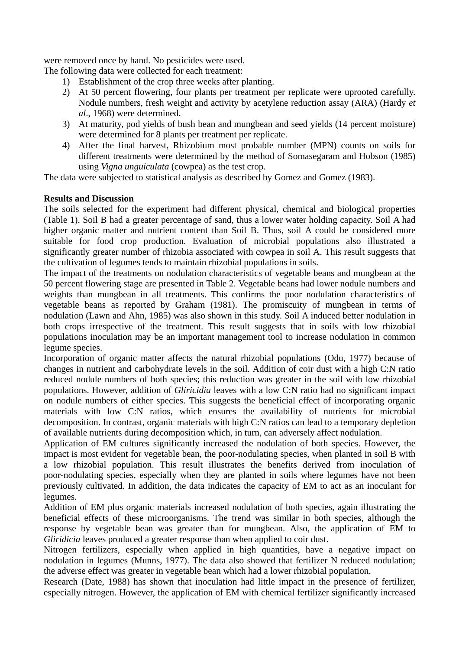were removed once by hand. No pesticides were used.

The following data were collected for each treatment:

- 1) Establishment of the crop three weeks after planting.
- 2) At 50 percent flowering, four plants per treatment per replicate were uprooted carefully. Nodule numbers, fresh weight and activity by acetylene reduction assay (ARA) (Hardy *et al*., 1968) were determined.
- 3) At maturity, pod yields of bush bean and mungbean and seed yields (14 percent moisture) were determined for 8 plants per treatment per replicate.
- 4) After the final harvest, Rhizobium most probable number (MPN) counts on soils for different treatments were determined by the method of Somasegaram and Hobson (1985) using *Vigna unguiculata* (cowpea) as the test crop.

The data were subjected to statistical analysis as described by Gomez and Gomez (1983).

# **Results and Discussion**

The soils selected for the experiment had different physical, chemical and biological properties (Table 1). Soil B had a greater percentage of sand, thus a lower water holding capacity. Soil A had higher organic matter and nutrient content than Soil B. Thus, soil A could be considered more suitable for food crop production. Evaluation of microbial populations also illustrated a significantly greater number of rhizobia associated with cowpea in soil A. This result suggests that the cultivation of legumes tends to maintain rhizobial populations in soils.

The impact of the treatments on nodulation characteristics of vegetable beans and mungbean at the 50 percent flowering stage are presented in Table 2. Vegetable beans had lower nodule numbers and weights than mungbean in all treatments. This confirms the poor nodulation characteristics of vegetable beans as reported by Graham (1981). The promiscuity of mungbean in terms of nodulation (Lawn and Ahn, 1985) was also shown in this study. Soil A induced better nodulation in both crops irrespective of the treatment. This result suggests that in soils with low rhizobial populations inoculation may be an important management tool to increase nodulation in common legume species.

Incorporation of organic matter affects the natural rhizobial populations (Odu, 1977) because of changes in nutrient and carbohydrate levels in the soil. Addition of coir dust with a high C:N ratio reduced nodule numbers of both species; this reduction was greater in the soil with low rhizobial populations. However, addition of *Gliricidia* leaves with a low C:N ratio had no significant impact on nodule numbers of either species. This suggests the beneficial effect of incorporating organic materials with low C:N ratios, which ensures the availability of nutrients for microbial decomposition. In contrast, organic materials with high C:N ratios can lead to a temporary depletion of available nutrients during decomposition which, in turn, can adversely affect nodulation.

Application of EM cultures significantly increased the nodulation of both species. However, the impact is most evident for vegetable bean, the poor-nodulating species, when planted in soil B with a low rhizobial population. This result illustrates the benefits derived from inoculation of poor-nodulating species, especially when they are planted in soils where legumes have not been previously cultivated. In addition, the data indicates the capacity of EM to act as an inoculant for legumes.

Addition of EM plus organic materials increased nodulation of both species, again illustrating the beneficial effects of these microorganisms. The trend was similar in both species, although the response by vegetable bean was greater than for mungbean. Also, the application of EM to *Gliridicia* leaves produced a greater response than when applied to coir dust.

Nitrogen fertilizers, especially when applied in high quantities, have a negative impact on nodulation in legumes (Munns, 1977). The data also showed that fertilizer N reduced nodulation; the adverse effect was greater in vegetable bean which had a lower rhizobial population.

Research (Date, 1988) has shown that inoculation had little impact in the presence of fertilizer, especially nitrogen. However, the application of EM with chemical fertilizer significantly increased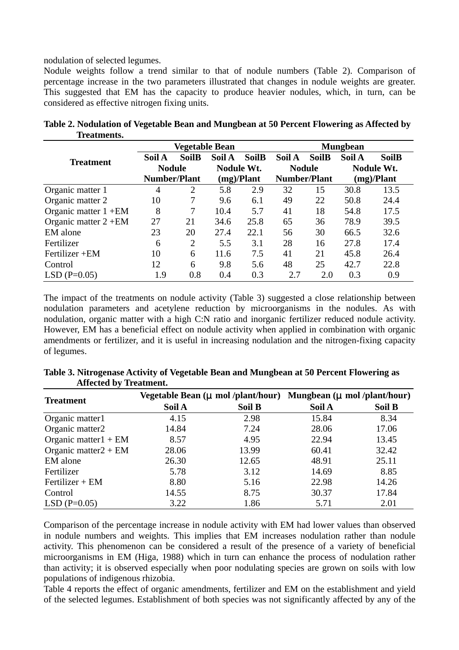nodulation of selected legumes.

Nodule weights follow a trend similar to that of nodule numbers (Table 2). Comparison of percentage increase in the two parameters illustrated that changes in nodule weights are greater. This suggested that EM has the capacity to produce heavier nodules, which, in turn, can be considered as effective nitrogen fixing units.

|                         | <b>Vegetable Bean</b> |                |                   |              | <b>Mungbean</b>     |              |                   |              |
|-------------------------|-----------------------|----------------|-------------------|--------------|---------------------|--------------|-------------------|--------------|
| <b>Treatment</b>        | Soil A                | <b>SoilB</b>   | Soil A            | <b>SoilB</b> | Soil A              | <b>SoilB</b> | Soil A            | <b>SoilB</b> |
|                         | <b>Nodule</b>         |                | <b>Nodule Wt.</b> |              | <b>Nodule</b>       |              | <b>Nodule Wt.</b> |              |
|                         | <b>Number/Plant</b>   |                | (mg)/Plant        |              | <b>Number/Plant</b> |              | (mg)/Plant        |              |
| Organic matter 1        | 4                     | 2              | 5.8               | 2.9          | 32                  | 15           | 30.8              | 13.5         |
| Organic matter 2        | 10                    | 7              | 9.6               | 6.1          | 49                  | 22           | 50.8              | 24.4         |
| Organic matter $1 + EM$ | 8                     | 7              | 10.4              | 5.7          | 41                  | 18           | 54.8              | 17.5         |
| Organic matter $2 + EM$ | 27                    | 21             | 34.6              | 25.8         | 65                  | 36           | 78.9              | 39.5         |
| EM alone                | 23                    | 20             | 27.4              | 22.1         | 56                  | 30           | 66.5              | 32.6         |
| Fertilizer              | 6                     | $\overline{2}$ | 5.5               | 3.1          | 28                  | 16           | 27.8              | 17.4         |
| Fertilizer + EM         | 10                    | 6              | 11.6              | 7.5          | 41                  | 21           | 45.8              | 26.4         |
| Control                 | 12                    | 6              | 9.8               | 5.6          | 48                  | 25           | 42.7              | 22.8         |
| $LSD$ (P=0.05)          | 1.9                   | 0.8            | 0.4               | 0.3          | 2.7                 | 2.0          | 0.3               | 0.9          |

**Table 2. Nodulation of Vegetable Bean and Mungbean at 50 Percent Flowering as Affected by Treatments.** 

The impact of the treatments on nodule activity (Table 3) suggested a close relationship between nodulation parameters and acetylene reduction by microorganisms in the nodules. As with nodulation, organic matter with a high C:N ratio and inorganic fertilizer reduced nodule activity. However, EM has a beneficial effect on nodule activity when applied in combination with organic amendments or fertilizer, and it is useful in increasing nodulation and the nitrogen-fixing capacity of legumes.

| <i>Allietta by Headheine</i> |        |        |                                                                                                     |        |  |  |
|------------------------------|--------|--------|-----------------------------------------------------------------------------------------------------|--------|--|--|
| <b>Treatment</b>             |        |        | Vegetable Bean $(\mu \text{ mol}/\text{plant/hour})$ Mungbean $(\mu \text{ mol}/\text{plant/hour})$ |        |  |  |
|                              | Soil A | Soil B | Soil A                                                                                              | Soil B |  |  |
| Organic matter1              | 4.15   | 2.98   | 15.84                                                                                               | 8.34   |  |  |
| Organic matter2              | 14.84  | 7.24   | 28.06                                                                                               | 17.06  |  |  |
| Organic matter $1 + EM$      | 8.57   | 4.95   | 22.94                                                                                               | 13.45  |  |  |
| Organic matter $2 + EM$      | 28.06  | 13.99  | 60.41                                                                                               | 32.42  |  |  |
| EM alone                     | 26.30  | 12.65  | 48.91                                                                                               | 25.11  |  |  |
| Fertilizer                   | 5.78   | 3.12   | 14.69                                                                                               | 8.85   |  |  |
| $Fertilizer + EM$            | 8.80   | 5.16   | 22.98                                                                                               | 14.26  |  |  |
| Control                      | 14.55  | 8.75   | 30.37                                                                                               | 17.84  |  |  |
| $LSD$ (P=0.05)               | 3.22   | 1.86   | 5.71                                                                                                | 2.01   |  |  |

**Table 3. Nitrogenase Activity of Vegetable Bean and Mungbean at 50 Percent Flowering as Affected by Treatment.** 

Comparison of the percentage increase in nodule activity with EM had lower values than observed in nodule numbers and weights. This implies that EM increases nodulation rather than nodule activity. This phenomenon can be considered a result of the presence of a variety of beneficial microorganisms in EM (Higa, 1988) which in turn can enhance the process of nodulation rather than activity; it is observed especially when poor nodulating species are grown on soils with low populations of indigenous rhizobia.

Table 4 reports the effect of organic amendments, fertilizer and EM on the establishment and yield of the selected legumes. Establishment of both species was not significantly affected by any of the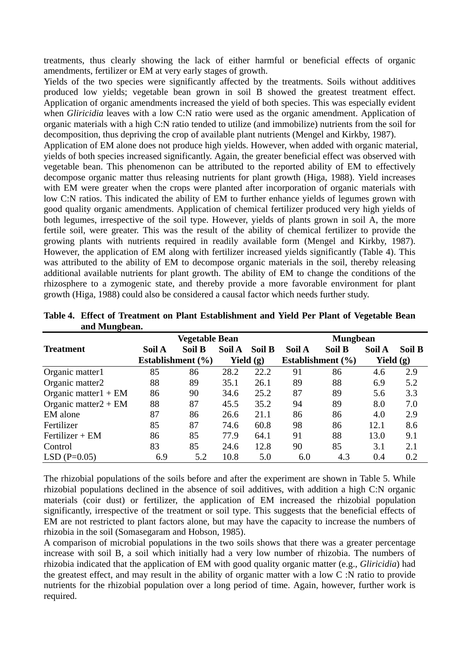treatments, thus clearly showing the lack of either harmful or beneficial effects of organic amendments, fertilizer or EM at very early stages of growth.

Yields of the two species were significantly affected by the treatments. Soils without additives produced low yields; vegetable bean grown in soil B showed the greatest treatment effect. Application of organic amendments increased the yield of both species. This was especially evident when *Gliricidia* leaves with a low C:N ratio were used as the organic amendment. Application of organic materials with a high C:N ratio tended to utilize (and immobilize) nutrients from the soil for decomposition, thus depriving the crop of available plant nutrients (Mengel and Kirkby, 1987).

Application of EM alone does not produce high yields. However, when added with organic material, yields of both species increased significantly. Again, the greater beneficial effect was observed with vegetable bean. This phenomenon can be attributed to the reported ability of EM to effectively decompose organic matter thus releasing nutrients for plant growth (Higa, 1988). Yield increases with EM were greater when the crops were planted after incorporation of organic materials with low C:N ratios. This indicated the ability of EM to further enhance yields of legumes grown with good quality organic amendments. Application of chemical fertilizer produced very high yields of both legumes, irrespective of the soil type. However, yields of plants grown in soil A, the more fertile soil, were greater. This was the result of the ability of chemical fertilizer to provide the growing plants with nutrients required in readily available form (Mengel and Kirkby, 1987). However, the application of EM along with fertilizer increased yields significantly (Table 4). This was attributed to the ability of EM to decompose organic materials in the soil, thereby releasing additional available nutrients for plant growth. The ability of EM to change the conditions of the rhizosphere to a zymogenic state, and thereby provide a more favorable environment for plant growth (Higa, 1988) could also be considered a causal factor which needs further study.

|                         | Vegetable Bean |                       |        | <b>Mungbean</b> |        |                       |             |        |
|-------------------------|----------------|-----------------------|--------|-----------------|--------|-----------------------|-------------|--------|
| <b>Treatment</b>        | Soil A         | Soil B                | Soil A | Soil B          | Soil A | <b>Soil B</b>         | Soil A      | Soil B |
|                         |                | Establishment $(\% )$ |        | Yield $(g)$     |        | Establishment $(\% )$ | Yield $(g)$ |        |
| Organic matter1         | 85             | 86                    | 28.2   | 22.2            | 91     | 86                    | 4.6         | 2.9    |
| Organic matter2         | 88             | 89                    | 35.1   | 26.1            | 89     | 88                    | 6.9         | 5.2    |
| Organic matter $1 + EM$ | 86             | 90                    | 34.6   | 25.2            | 87     | 89                    | 5.6         | 3.3    |
| Organic matter $2 + EM$ | 88             | 87                    | 45.5   | 35.2            | 94     | 89                    | 8.0         | 7.0    |
| EM alone                | 87             | 86                    | 26.6   | 21.1            | 86     | 86                    | 4.0         | 2.9    |
| Fertilizer              | 85             | 87                    | 74.6   | 60.8            | 98     | 86                    | 12.1        | 8.6    |
| $Fertilizer + EM$       | 86             | 85                    | 77.9   | 64.1            | 91     | 88                    | 13.0        | 9.1    |
| Control                 | 83             | 85                    | 24.6   | 12.8            | 90     | 85                    | 3.1         | 2.1    |
| $LSD(P=0.05)$           | 6.9            | 5.2                   | 10.8   | 5.0             | 6.0    | 4.3                   | 0.4         | 0.2    |

**Table 4. Effect of Treatment on Plant Establishment and Yield Per Plant of Vegetable Bean and Mungbean.** 

The rhizobial populations of the soils before and after the experiment are shown in Table 5. While rhizobial populations declined in the absence of soil additives, with addition a high C:N organic materials (coir dust) or fertilizer, the application of EM increased the rhizobial population significantly, irrespective of the treatment or soil type. This suggests that the beneficial effects of EM are not restricted to plant factors alone, but may have the capacity to increase the numbers of rhizobia in the soil (Somasegaram and Hobson, 1985).

A comparison of microbial populations in the two soils shows that there was a greater percentage increase with soil B, a soil which initially had a very low number of rhizobia. The numbers of rhizobia indicated that the application of EM with good quality organic matter (e.g., *Gliricidia*) had the greatest effect, and may result in the ability of organic matter with a low C :N ratio to provide nutrients for the rhizobial population over a long period of time. Again, however, further work is required.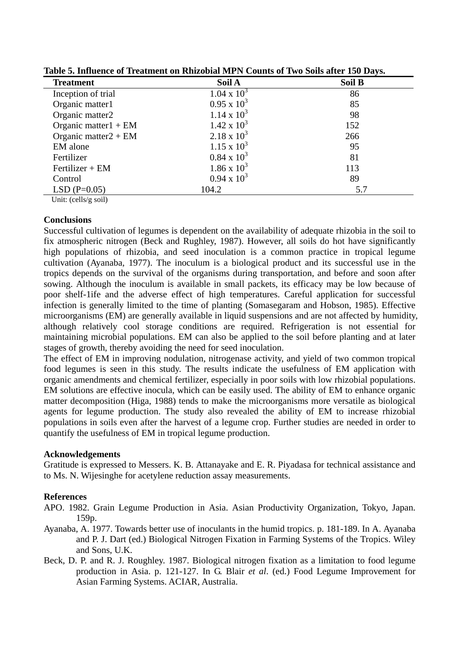| <b>Treatment</b>        | Soil A             | Soil B |  |  |
|-------------------------|--------------------|--------|--|--|
| Inception of trial      | $1.04 \times 10^3$ | 86     |  |  |
| Organic matter1         | $0.95 \times 10^3$ | 85     |  |  |
| Organic matter2         | $1.14 \times 10^3$ | 98     |  |  |
| Organic matter $1 + EM$ | $1.42 \times 10^3$ | 152    |  |  |
| Organic matter $2 + EM$ | $2.18 \times 10^3$ | 266    |  |  |
| EM alone                | $1.15 \times 10^3$ | 95     |  |  |
| Fertilizer              | $0.84 \times 10^3$ | 81     |  |  |
| $Fertilizer + EM$       | $1.86 \times 10^3$ | 113    |  |  |
| Control                 | $0.94 \times 10^3$ | 89     |  |  |
| $LSD(P=0.05)$           | 104.2              | 5.7    |  |  |

**Table 5. Influence of Treatment on Rhizobial MPN Counts of Two Soils after 150 Days.** 

Unit: (cells/g soil)

### **Conclusions**

Successful cultivation of legumes is dependent on the availability of adequate rhizobia in the soil to fix atmospheric nitrogen (Beck and Rughley, 1987). However, all soils do hot have significantly high populations of rhizobia, and seed inoculation is a common practice in tropical legume cultivation (Ayanaba, 1977). The inoculum is a biological product and its successful use in the tropics depends on the survival of the organisms during transportation, and before and soon after sowing. Although the inoculum is available in small packets, its efficacy may be low because of poor shelf-1ife and the adverse effect of high temperatures. Careful application for successful infection is generally limited to the time of planting (Somasegaram and Hobson, 1985). Effective microorganisms (EM) are generally available in liquid suspensions and are not affected by humidity, although relatively cool storage conditions are required. Refrigeration is not essential for maintaining microbial populations. EM can also be applied to the soil before planting and at later stages of growth, thereby avoiding the need for seed inoculation.

The effect of EM in improving nodulation, nitrogenase activity, and yield of two common tropical food legumes is seen in this study. The results indicate the usefulness of EM application with organic amendments and chemical fertilizer, especially in poor soils with low rhizobial populations. EM solutions are effective inocula, which can be easily used. The ability of EM to enhance organic matter decomposition (Higa, 1988) tends to make the microorganisms more versatile as biological agents for legume production. The study also revealed the ability of EM to increase rhizobial populations in soils even after the harvest of a legume crop. Further studies are needed in order to quantify the usefulness of EM in tropical legume production.

# **Acknowledgements**

Gratitude is expressed to Messers. K. B. Attanayake and E. R. Piyadasa for technical assistance and to Ms. N. Wijesinghe for acetylene reduction assay measurements.

# **References**

- APO. 1982. Grain Legume Production in Asia. Asian Productivity Organization, Tokyo, Japan. 159p.
- Ayanaba, A. 1977. Towards better use of inoculants in the humid tropics. p. 181-189. In A. Ayanaba and P. J. Dart (ed.) Biological Nitrogen Fixation in Farming Systems of the Tropics. Wiley and Sons, U.K.
- Beck, D. P. and R. J. Roughley. 1987. Biological nitrogen fixation as a limitation to food legume production in Asia. p. 121-127. In G. Blair *et al*. (ed.) Food Legume Improvement for Asian Farming Systems. ACIAR, Australia.